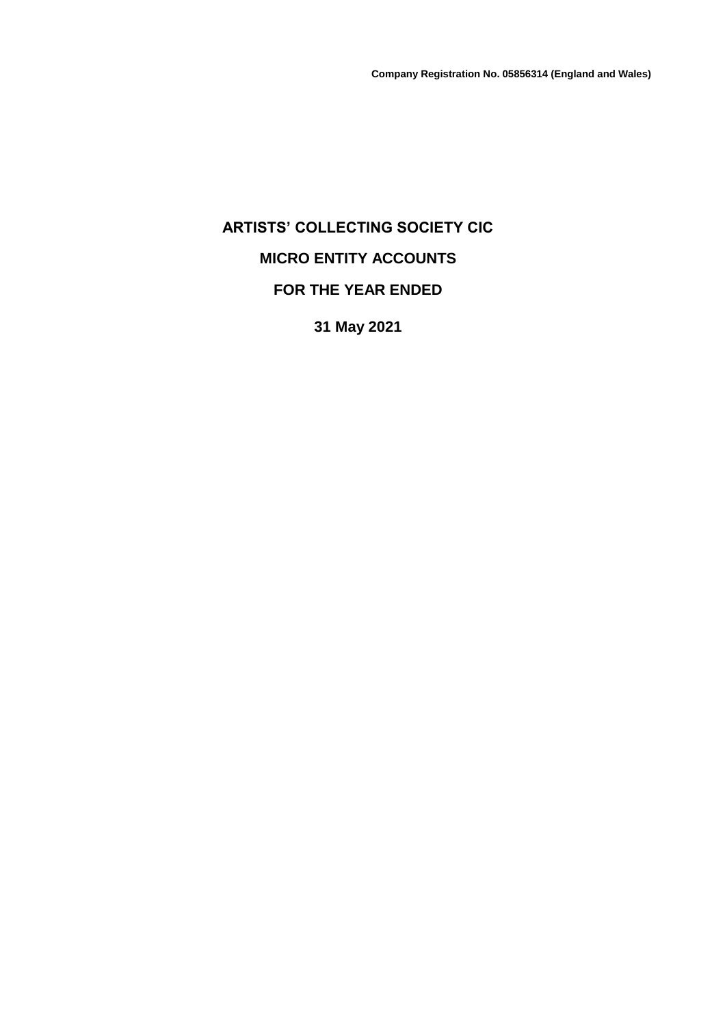# **ARTISTS' COLLECTING SOCIETY CIC MICRO ENTITY ACCOUNTS FOR THE YEAR ENDED**

**31 May 2021**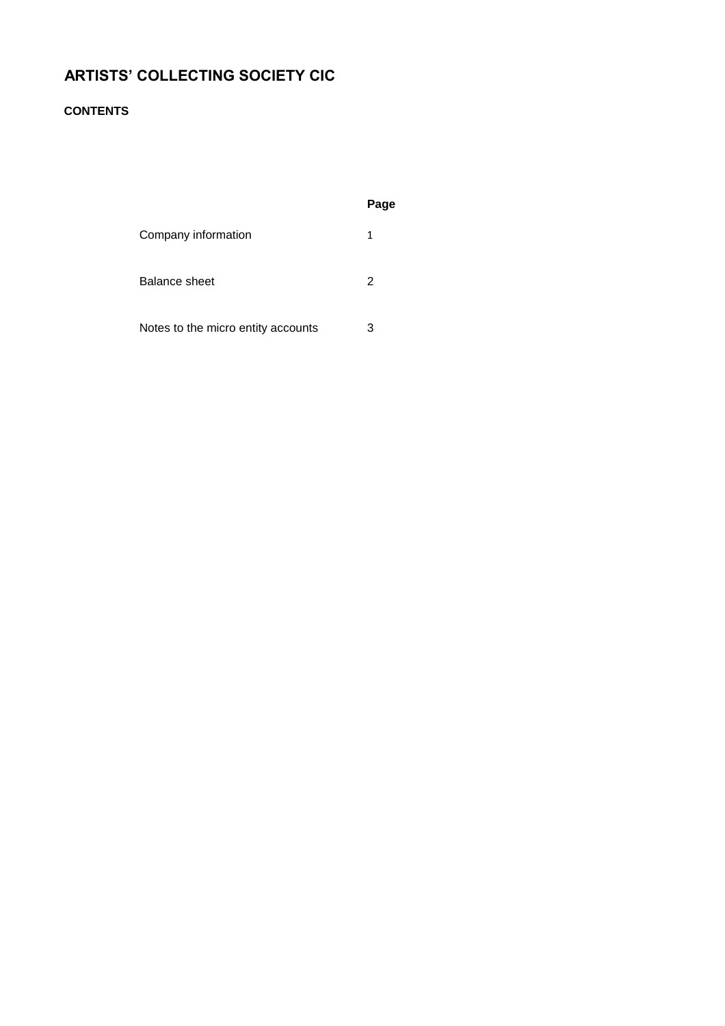#### **CONTENTS**

|                                    | Page |
|------------------------------------|------|
| Company information                | 1    |
| Balance sheet                      | 2    |
| Notes to the micro entity accounts | З    |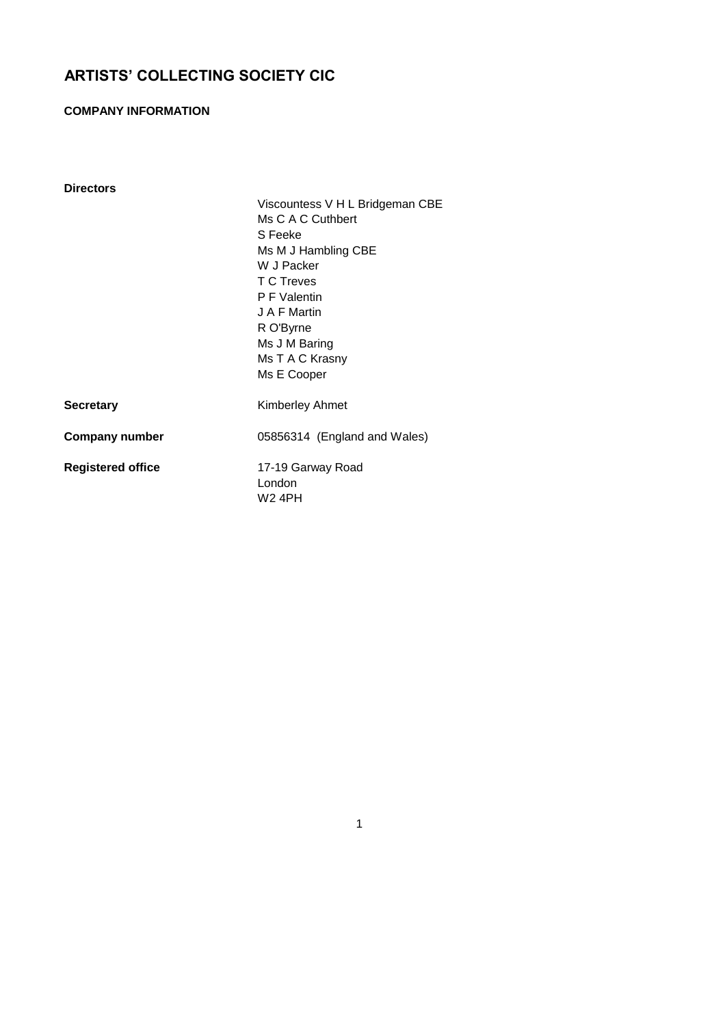#### **COMPANY INFORMATION**

| <b>Directors</b> |                |
|------------------|----------------|
|                  | Vis            |
|                  | Ms             |
|                  | SF             |
|                  | Ms             |
|                  | W.             |
|                  | T <sub>C</sub> |
|                  | ΡF             |
|                  | J A            |
|                  | R C            |
|                  | . .            |

scountess V H L Bridgeman CBE C A C Cuthbert Feeke M J Hambling CBE J Packer C Treves Walentin F Martin O'Byrne Ms J M Baring Ms T A C Krasny Ms E Cooper **Secretary** Kimberley Ahmet **Company number** 05856314 (England and Wales) **Registered office** 17-19 Garway Road London W2 4PH

1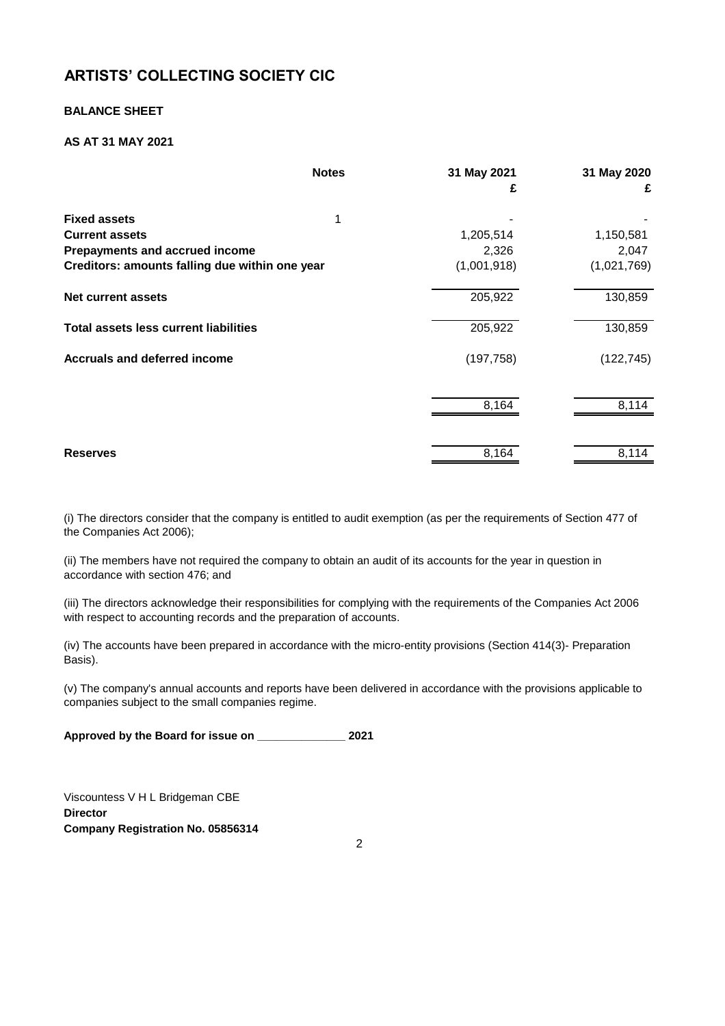#### **BALANCE SHEET**

#### **AS AT 31 MAY 2021**

| <b>Notes</b>                                   | 31 May 2021 | 31 May 2020 |
|------------------------------------------------|-------------|-------------|
|                                                | £           | £           |
| <b>Fixed assets</b><br>1                       |             |             |
| <b>Current assets</b>                          | 1,205,514   | 1,150,581   |
| <b>Prepayments and accrued income</b>          | 2,326       | 2,047       |
| Creditors: amounts falling due within one year | (1,001,918) | (1,021,769) |
| <b>Net current assets</b>                      | 205,922     | 130,859     |
| <b>Total assets less current liabilities</b>   | 205,922     | 130,859     |
| <b>Accruals and deferred income</b>            | (197, 758)  | (122, 745)  |
|                                                | 8,164       | 8,114       |
| <b>Reserves</b>                                | 8,164       | 8,114       |
|                                                |             |             |

(i) The directors consider that the company is entitled to audit exemption (as per the requirements of Section 477 of the Companies Act 2006);

(ii) The members have not required the company to obtain an audit of its accounts for the year in question in accordance with section 476; and

(iii) The directors acknowledge their responsibilities for complying with the requirements of the Companies Act 2006 with respect to accounting records and the preparation of accounts.

(iv) The accounts have been prepared in accordance with the micro-entity provisions (Section 414(3)- Preparation Basis).

(v) The company's annual accounts and reports have been delivered in accordance with the provisions applicable to companies subject to the small companies regime.

**Approved by the Board for issue on \_\_\_\_\_\_\_\_\_\_\_\_\_\_ 2021**

Viscountess V H L Bridgeman CBE **Director Company Registration No. 05856314**